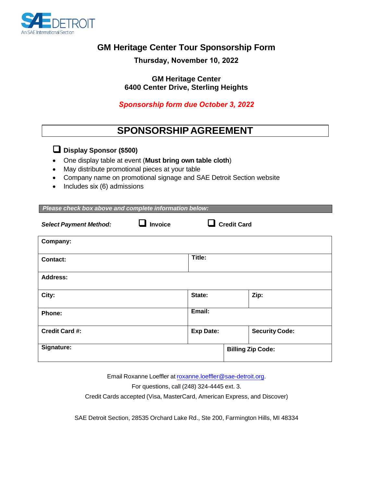

## **GM Heritage Center Tour Sponsorship Form**

**Thursday, November 10, 2022**

**GM Heritage Center 6400 Center Drive, Sterling Heights**

*Sponsorship form due October 3, 2022*

## **SPONSORSHIP AGREEMENT**

## **Display Sponsor (\$500)**

- One display table at event (**Must bring own table cloth**)
- May distribute promotional pieces at your table
- Company name on promotional signage and SAE Detroit Section website
- Includes six (6) admissions

| Please check box above and complete information below: |                |                    |                          |                       |  |
|--------------------------------------------------------|----------------|--------------------|--------------------------|-----------------------|--|
| <b>Select Payment Method:</b>                          | <b>Invoice</b> | <b>Credit Card</b> |                          |                       |  |
| Company:                                               |                |                    |                          |                       |  |
| <b>Contact:</b>                                        |                | Title:             |                          |                       |  |
| <b>Address:</b>                                        |                |                    |                          |                       |  |
| City:                                                  |                | State:             |                          | Zip:                  |  |
| Phone:                                                 |                | Email:             |                          |                       |  |
| <b>Credit Card #:</b>                                  |                | <b>Exp Date:</b>   |                          | <b>Security Code:</b> |  |
| Signature:                                             |                |                    | <b>Billing Zip Code:</b> |                       |  |

Email Roxanne Loeffler at rox[anne.loeffler@sae-detroit.org.](mailto:roxanne.loeffler@sae-detroit.org)  For questions, call (248) 324-4445 ext. 3. Credit Cards accepted (Visa, MasterCard, American Express, and Discover)

SAE Detroit Section, 28535 Orchard Lake Rd., Ste 200, Farmington Hills, MI 48334